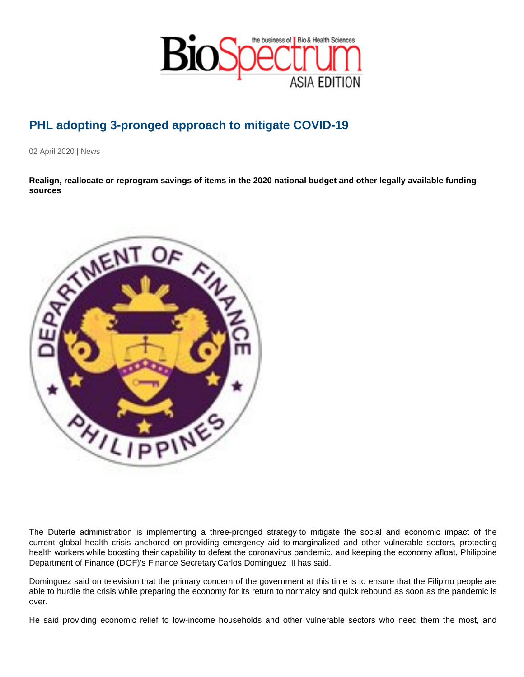## PHL adopting 3-pronged approach to mitigate COVID-19

02 April 2020 | News

Realign, reallocate or reprogram savings of items in the 2020 national budget and other legally available funding sources

The Duterte administration is implementing a three-pronged strategy to mitigate the social and economic impact of the current global health crisis anchored on providing emergency aid to marginalized and other vulnerable sectors, protecting health workers while boosting their capability to defeat the coronavirus pandemic, and keeping the economy afloat, Philippine Department of Finance (DOF)'s Finance Secretary Carlos Dominguez III has said.

Dominguez said on television that the primary concern of the government at this time is to ensure that the Filipino people are able to hurdle the crisis while preparing the economy for its return to normalcy and quick rebound as soon as the pandemic is over.

He said providing economic relief to low-income households and other vulnerable sectors who need them the most, and